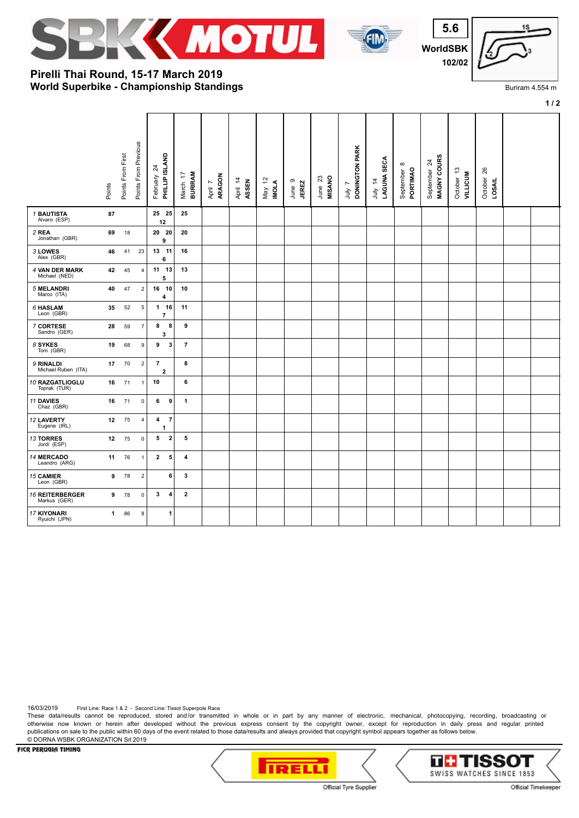





**1 / 2**

Buriram 4.554 m

## **World Superbike - Championship Standings Pirelli Thai Round, 15-17 March 2019**

|                                        | Points       | Points From First | Points From Previous | PHILLIP ISLAND<br>$\overline{24}$<br>February | <b>BURIRAM</b><br>March 17 | ARAGON<br>April 7 | April 14<br>ASSEN | $\tilde{a}$<br>May 12<br><b>IMOLA</b> | June 9<br><b>JEREZ</b> | June 23<br>MISANO | DONINGTON PARK<br>r<br>ληr | LAGUNA SECA<br>July 14 | $\infty$<br>PORTIMAO<br>September | MAGNY COURS<br>September 24 | October 13<br>VILLICUM | 26<br>October<br>LOSAIL |  |
|----------------------------------------|--------------|-------------------|----------------------|-----------------------------------------------|----------------------------|-------------------|-------------------|---------------------------------------|------------------------|-------------------|----------------------------|------------------------|-----------------------------------|-----------------------------|------------------------|-------------------------|--|
| <b>1 BAUTISTA</b><br>Alvaro (ESP)      | 87           |                   |                      | 25 25<br>12                                   | 25                         |                   |                   |                                       |                        |                   |                            |                        |                                   |                             |                        |                         |  |
| 2 REA<br>Jonathan (GBR)                | 69           | 18                |                      | 20 20<br>9                                    | 20                         |                   |                   |                                       |                        |                   |                            |                        |                                   |                             |                        |                         |  |
| 3 LOWES<br>Alex (GBR)                  | 46           | 41                | 23                   | 13 11<br>6                                    | 16                         |                   |                   |                                       |                        |                   |                            |                        |                                   |                             |                        |                         |  |
| 4 VAN DER MARK<br>Michael (NED)        | 42           | 45                | $\overline{4}$       | 11 13<br>5                                    | 13                         |                   |                   |                                       |                        |                   |                            |                        |                                   |                             |                        |                         |  |
| <b>5 MELANDRI</b><br>Marco (ITA)       | 40           | 47                | $\mathbf 2$          | 16 10<br>4                                    | 10                         |                   |                   |                                       |                        |                   |                            |                        |                                   |                             |                        |                         |  |
| 6 HASLAM<br>Leon (GBR)                 | 35           | 52                | $\,$ 5 $\,$          | $1 16$<br>$\overline{\phantom{a}}$            | 11                         |                   |                   |                                       |                        |                   |                            |                        |                                   |                             |                        |                         |  |
| 7 CORTESE<br>Sandro (GER)              | 28           | 59                | $\overline{7}$       | 8<br>8<br>3                                   | 9                          |                   |                   |                                       |                        |                   |                            |                        |                                   |                             |                        |                         |  |
| 8 SYKES<br>Tom (GBR)                   | 19           | 68                | 9                    | 9<br>3                                        | $\overline{7}$             |                   |                   |                                       |                        |                   |                            |                        |                                   |                             |                        |                         |  |
| 9 RINALDI<br>Michael Ruben (ITA)       | 17           | 70                | $\mathbf 2$          | $\overline{7}$<br>$\mathbf{2}$                | 8                          |                   |                   |                                       |                        |                   |                            |                        |                                   |                             |                        |                         |  |
| 10 RAZGATLIOGLU<br>Toprak (TUR)        | 16           | 71                | $\mathbf{1}$         | 10                                            | 6                          |                   |                   |                                       |                        |                   |                            |                        |                                   |                             |                        |                         |  |
| 11 DAVIES<br>Chaz (GBR)                | 16           | 71                | 0                    | 6<br>9                                        | $\mathbf{1}$               |                   |                   |                                       |                        |                   |                            |                        |                                   |                             |                        |                         |  |
| 12 LAVERTY<br>Eugene (IRL)             | 12           | 75                | $\overline{4}$       | 4<br>$\overline{7}$<br>1                      |                            |                   |                   |                                       |                        |                   |                            |                        |                                   |                             |                        |                         |  |
| 13 TORRES<br>Jordi (ESP)               | 12           | 75                | $\mathsf{O}\xspace$  | $\mathbf 2$<br>5                              | 5                          |                   |                   |                                       |                        |                   |                            |                        |                                   |                             |                        |                         |  |
| 14 MERCADO<br>Leandro (ARG)            | 11           | 76                | $\mathbf{1}$         | 5<br>$\mathbf{2}$                             | 4                          |                   |                   |                                       |                        |                   |                            |                        |                                   |                             |                        |                         |  |
| 15 CAMIER<br>Leon (GBR)                | 9            | 78                | $\mathbf 2$          | 6                                             | 3                          |                   |                   |                                       |                        |                   |                            |                        |                                   |                             |                        |                         |  |
| <b>16 REITERBERGER</b><br>Markus (GER) | 9            | 78                | $\mathsf{O}\xspace$  | 3<br>4                                        | $\mathbf{2}$               |                   |                   |                                       |                        |                   |                            |                        |                                   |                             |                        |                         |  |
| <b>17 KIYONARI</b><br>Ryuichi (JPN)    | $\mathbf{1}$ | 86                | 8                    | 1                                             |                            |                   |                   |                                       |                        |                   |                            |                        |                                   |                             |                        |                         |  |

16/03/2019 First Line: Race 1 & 2 - Second Line: Tissot Superpole Race

These data/results cannot be reproduced, stored and/or transmitted in whole or in part by any manner of electronic, mechanical, photocopying, recording, broadcasting or otherwise now known or herein after developed without the previous express consent by the copyright owner, except for reproduction in daily press and regular printed publications on sale to the public within 60 days of the event related to those data/results and always provided that copyright symbol appears together as follows below. © DORNA WSBK ORGANIZATION Srl 2019

FICR PERUGIA TIMING